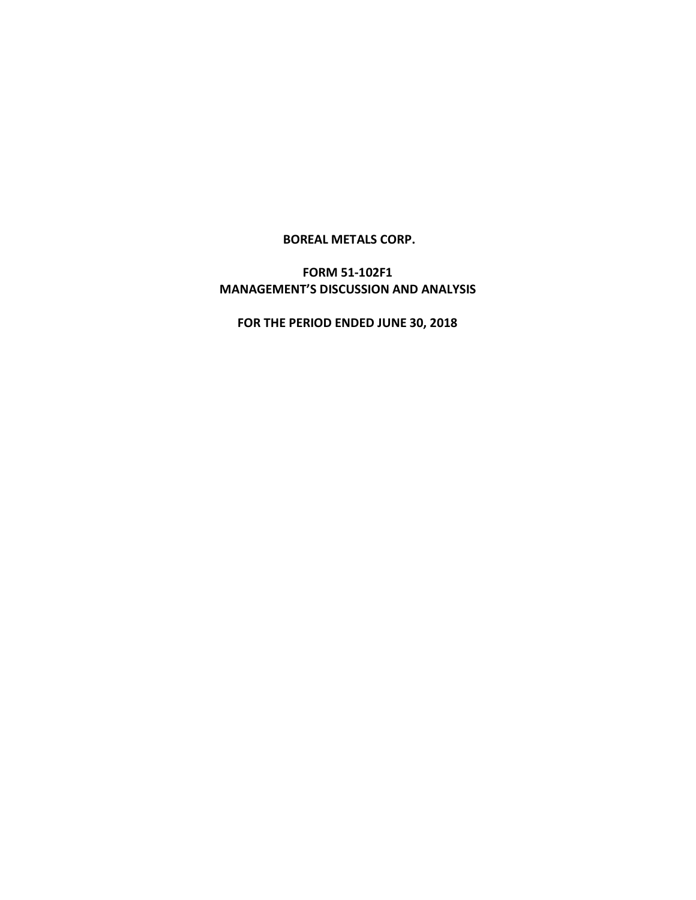**BOREAL METALS CORP.**

**FORM 51-102F1 MANAGEMENT'S DISCUSSION AND ANALYSIS**

**FOR THE PERIOD ENDED JUNE 30, 2018**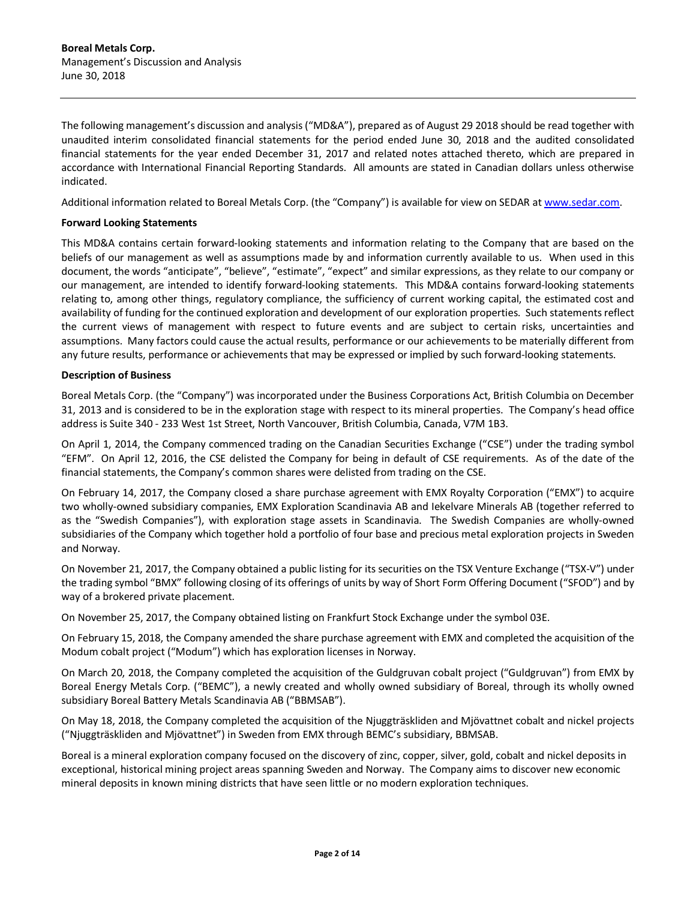The following management's discussion and analysis ("MD&A"), prepared as of August 29 2018 should be read together with unaudited interim consolidated financial statements for the period ended June 30, 2018 and the audited consolidated financial statements for the year ended December 31, 2017 and related notes attached thereto, which are prepared in accordance with International Financial Reporting Standards. All amounts are stated in Canadian dollars unless otherwise indicated.

Additional information related to Boreal Metals Corp. (the "Company") is available for view on SEDAR at www.sedar.com.

### **Forward Looking Statements**

This MD&A contains certain forward-looking statements and information relating to the Company that are based on the beliefs of our management as well as assumptions made by and information currently available to us. When used in this document, the words "anticipate", "believe", "estimate", "expect" and similar expressions, as they relate to our company or our management, are intended to identify forward-looking statements. This MD&A contains forward-looking statements relating to, among other things, regulatory compliance, the sufficiency of current working capital, the estimated cost and availability of funding for the continued exploration and development of our exploration properties. Such statements reflect the current views of management with respect to future events and are subject to certain risks, uncertainties and assumptions. Many factors could cause the actual results, performance or our achievements to be materially different from any future results, performance or achievements that may be expressed or implied by such forward-looking statements.

### **Description of Business**

Boreal Metals Corp. (the "Company") was incorporated under the Business Corporations Act, British Columbia on December 31, 2013 and is considered to be in the exploration stage with respect to its mineral properties. The Company's head office address is Suite 340 - 233 West 1st Street, North Vancouver, British Columbia, Canada, V7M 1B3.

On April 1, 2014, the Company commenced trading on the Canadian Securities Exchange ("CSE") under the trading symbol "EFM". On April 12, 2016, the CSE delisted the Company for being in default of CSE requirements. As of the date of the financial statements, the Company's common shares were delisted from trading on the CSE.

On February 14, 2017, the Company closed a share purchase agreement with EMX Royalty Corporation ("EMX") to acquire two wholly-owned subsidiary companies, EMX Exploration Scandinavia AB and Iekelvare Minerals AB (together referred to as the "Swedish Companies"), with exploration stage assets in Scandinavia. The Swedish Companies are wholly-owned subsidiaries of the Company which together hold a portfolio of four base and precious metal exploration projects in Sweden and Norway.

On November 21, 2017, the Company obtained a public listing for its securities on the TSX Venture Exchange ("TSX-V") under the trading symbol "BMX" following closing of its offerings of units by way of Short Form Offering Document ("SFOD") and by way of a brokered private placement.

On November 25, 2017, the Company obtained listing on Frankfurt Stock Exchange under the symbol 03E.

On February 15, 2018, the Company amended the share purchase agreement with EMX and completed the acquisition of the Modum cobalt project ("Modum") which has exploration licenses in Norway.

On March 20, 2018, the Company completed the acquisition of the Guldgruvan cobalt project ("Guldgruvan") from EMX by Boreal Energy Metals Corp. ("BEMC"), a newly created and wholly owned subsidiary of Boreal, through its wholly owned subsidiary Boreal Battery Metals Scandinavia AB ("BBMSAB").

On May 18, 2018, the Company completed the acquisition of the Njuggträskliden and Mjövattnet cobalt and nickel projects ("Njuggträskliden and Mjövattnet") in Sweden from EMX through BEMC's subsidiary, BBMSAB.

Boreal is a mineral exploration company focused on the discovery of zinc, copper, silver, gold, cobalt and nickel deposits in exceptional, historical mining project areas spanning Sweden and Norway. The Company aims to discover new economic mineral deposits in known mining districts that have seen little or no modern exploration techniques.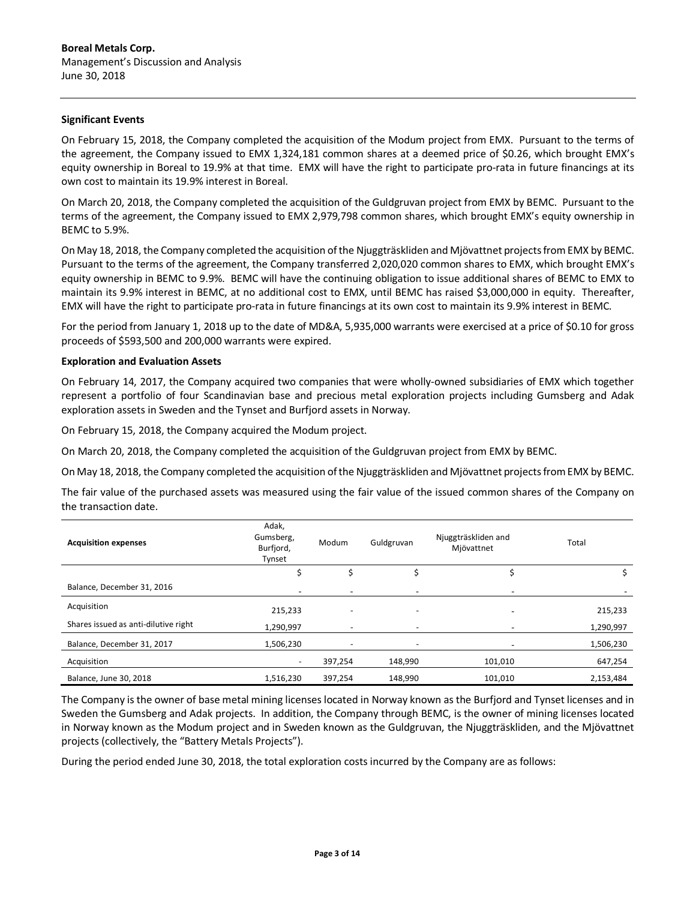### **Significant Events**

On February 15, 2018, the Company completed the acquisition of the Modum project from EMX. Pursuant to the terms of the agreement, the Company issued to EMX 1,324,181 common shares at a deemed price of \$0.26, which brought EMX's equity ownership in Boreal to 19.9% at that time. EMX will have the right to participate pro-rata in future financings at its own cost to maintain its 19.9% interest in Boreal.

On March 20, 2018, the Company completed the acquisition of the Guldgruvan project from EMX by BEMC. Pursuant to the terms of the agreement, the Company issued to EMX 2,979,798 common shares, which brought EMX's equity ownership in BEMC to 5.9%.

On May 18, 2018, the Company completed the acquisition of the Njuggträskliden and Mjövattnet projects from EMX by BEMC. Pursuant to the terms of the agreement, the Company transferred 2,020,020 common shares to EMX, which brought EMX's equity ownership in BEMC to 9.9%. BEMC will have the continuing obligation to issue additional shares of BEMC to EMX to maintain its 9.9% interest in BEMC, at no additional cost to EMX, until BEMC has raised \$3,000,000 in equity. Thereafter, EMX will have the right to participate pro-rata in future financings at its own cost to maintain its 9.9% interest in BEMC.

For the period from January 1, 2018 up to the date of MD&A, 5,935,000 warrants were exercised at a price of \$0.10 for gross proceeds of \$593,500 and 200,000 warrants were expired.

### **Exploration and Evaluation Assets**

On February 14, 2017, the Company acquired two companies that were wholly-owned subsidiaries of EMX which together represent a portfolio of four Scandinavian base and precious metal exploration projects including Gumsberg and Adak exploration assets in Sweden and the Tynset and Burfjord assets in Norway.

On February 15, 2018, the Company acquired the Modum project.

On March 20, 2018, the Company completed the acquisition of the Guldgruvan project from EMX by BEMC.

On May 18, 2018, the Company completed the acquisition of the Njuggträskliden and Mjövattnet projects from EMX by BEMC.

The fair value of the purchased assets was measured using the fair value of the issued common shares of the Company on the transaction date.

| <b>Acquisition expenses</b>          | Adak,<br>Gumsberg,<br>Burfjord,<br>Tynset | Modum                    | Guldgruvan                   | Njuggträskliden and<br>Mjövattnet | Total     |
|--------------------------------------|-------------------------------------------|--------------------------|------------------------------|-----------------------------------|-----------|
|                                      |                                           | Ś                        |                              |                                   |           |
| Balance, December 31, 2016           | $\overline{\phantom{a}}$                  | $\overline{\phantom{a}}$ | -                            |                                   |           |
| Acquisition                          | 215,233                                   |                          | $\overline{\phantom{a}}$     |                                   | 215,233   |
| Shares issued as anti-dilutive right | 1,290,997                                 | $\overline{\phantom{a}}$ | $\qquad \qquad \blacksquare$ |                                   | 1,290,997 |
| Balance, December 31, 2017           | 1,506,230                                 |                          |                              |                                   | 1,506,230 |
| Acquisition                          |                                           | 397,254                  | 148,990                      | 101,010                           | 647,254   |
| Balance, June 30, 2018               | 1,516,230                                 | 397,254                  | 148,990                      | 101,010                           | 2,153,484 |

The Company is the owner of base metal mining licenses located in Norway known as the Burfjord and Tynset licenses and in Sweden the Gumsberg and Adak projects. In addition, the Company through BEMC, is the owner of mining licenses located in Norway known as the Modum project and in Sweden known as the Guldgruvan, the Njuggträskliden, and the Mjövattnet projects (collectively, the "Battery Metals Projects").

During the period ended June 30, 2018, the total exploration costs incurred by the Company are as follows: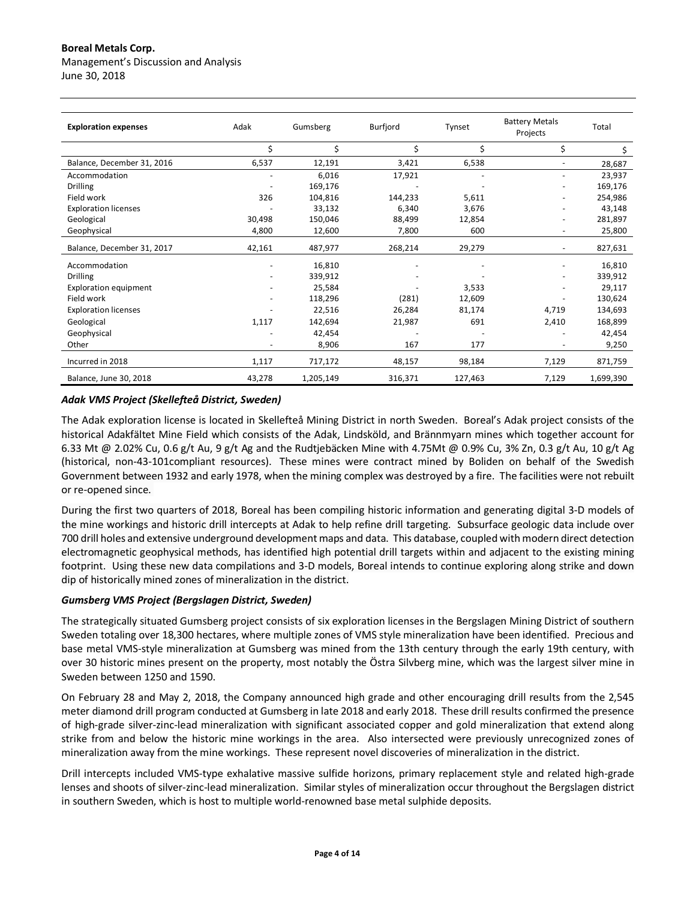# **Boreal Metals Corp.**

Management's Discussion and Analysis June 30, 2018

| <b>Exploration expenses</b>  | Adak   | Gumsberg  | Burfjord | Tynset                   | <b>Battery Metals</b><br>Projects | Total     |
|------------------------------|--------|-----------|----------|--------------------------|-----------------------------------|-----------|
|                              | \$     | \$        | \$       | \$                       | \$                                | \$        |
| Balance, December 31, 2016   | 6,537  | 12,191    | 3,421    | 6,538                    |                                   | 28,687    |
| Accommodation                |        | 6,016     | 17,921   |                          |                                   | 23,937    |
| <b>Drilling</b>              |        | 169,176   |          |                          |                                   | 169,176   |
| Field work                   | 326    | 104,816   | 144,233  | 5,611                    |                                   | 254,986   |
| <b>Exploration licenses</b>  |        | 33,132    | 6,340    | 3,676                    |                                   | 43,148    |
| Geological                   | 30,498 | 150,046   | 88,499   | 12,854                   |                                   | 281,897   |
| Geophysical                  | 4,800  | 12,600    | 7,800    | 600                      |                                   | 25,800    |
| Balance, December 31, 2017   | 42,161 | 487,977   | 268,214  | 29,279                   | $\overline{\phantom{a}}$          | 827,631   |
| Accommodation                |        | 16,810    |          | $\overline{\phantom{a}}$ | $\qquad \qquad \blacksquare$      | 16,810    |
| <b>Drilling</b>              |        | 339,912   |          |                          | $\overline{\phantom{a}}$          | 339,912   |
| <b>Exploration equipment</b> |        | 25,584    |          | 3,533                    |                                   | 29,117    |
| Field work                   |        | 118,296   | (281)    | 12,609                   |                                   | 130,624   |
| <b>Exploration licenses</b>  |        | 22,516    | 26,284   | 81,174                   | 4,719                             | 134,693   |
| Geological                   | 1,117  | 142,694   | 21,987   | 691                      | 2,410                             | 168,899   |
| Geophysical                  |        | 42,454    |          |                          |                                   | 42,454    |
| Other                        |        | 8,906     | 167      | 177                      |                                   | 9,250     |
| Incurred in 2018             | 1,117  | 717,172   | 48,157   | 98,184                   | 7,129                             | 871,759   |
| Balance, June 30, 2018       | 43,278 | 1,205,149 | 316,371  | 127,463                  | 7,129                             | 1,699,390 |

## *Adak VMS Project (Skellefteå District, Sweden)*

The Adak exploration license is located in Skellefteå Mining District in north Sweden. Boreal's Adak project consists of the historical Adakfältet Mine Field which consists of the Adak, Lindsköld, and Brännmyarn mines which together account for 6.33 Mt @ 2.02% Cu, 0.6 g/t Au, 9 g/t Ag and the Rudtjebäcken Mine with 4.75Mt @ 0.9% Cu, 3% Zn, 0.3 g/t Au, 10 g/t Ag (historical, non-43-101compliant resources). These mines were contract mined by Boliden on behalf of the Swedish Government between 1932 and early 1978, when the mining complex was destroyed by a fire. The facilities were not rebuilt or re-opened since.

During the first two quarters of 2018, Boreal has been compiling historic information and generating digital 3-D models of the mine workings and historic drill intercepts at Adak to help refine drill targeting. Subsurface geologic data include over 700 drill holes and extensive underground development maps and data. This database, coupled with modern direct detection electromagnetic geophysical methods, has identified high potential drill targets within and adjacent to the existing mining footprint. Using these new data compilations and 3-D models, Boreal intends to continue exploring along strike and down dip of historically mined zones of mineralization in the district.

## *Gumsberg VMS Project (Bergslagen District, Sweden)*

The strategically situated Gumsberg project consists of six exploration licenses in the Bergslagen Mining District of southern Sweden totaling over 18,300 hectares, where multiple zones of VMS style mineralization have been identified. Precious and base metal VMS-style mineralization at Gumsberg was mined from the 13th century through the early 19th century, with over 30 historic mines present on the property, most notably the Östra Silvberg mine, which was the largest silver mine in Sweden between 1250 and 1590.

On February 28 and May 2, 2018, the Company announced high grade and other encouraging drill results from the 2,545 meter diamond drill program conducted at Gumsberg in late 2018 and early 2018. These drill results confirmed the presence of high-grade silver-zinc-lead mineralization with significant associated copper and gold mineralization that extend along strike from and below the historic mine workings in the area. Also intersected were previously unrecognized zones of mineralization away from the mine workings. These represent novel discoveries of mineralization in the district.

Drill intercepts included VMS-type exhalative massive sulfide horizons, primary replacement style and related high-grade lenses and shoots of silver-zinc-lead mineralization. Similar styles of mineralization occur throughout the Bergslagen district in southern Sweden, which is host to multiple world-renowned base metal sulphide deposits.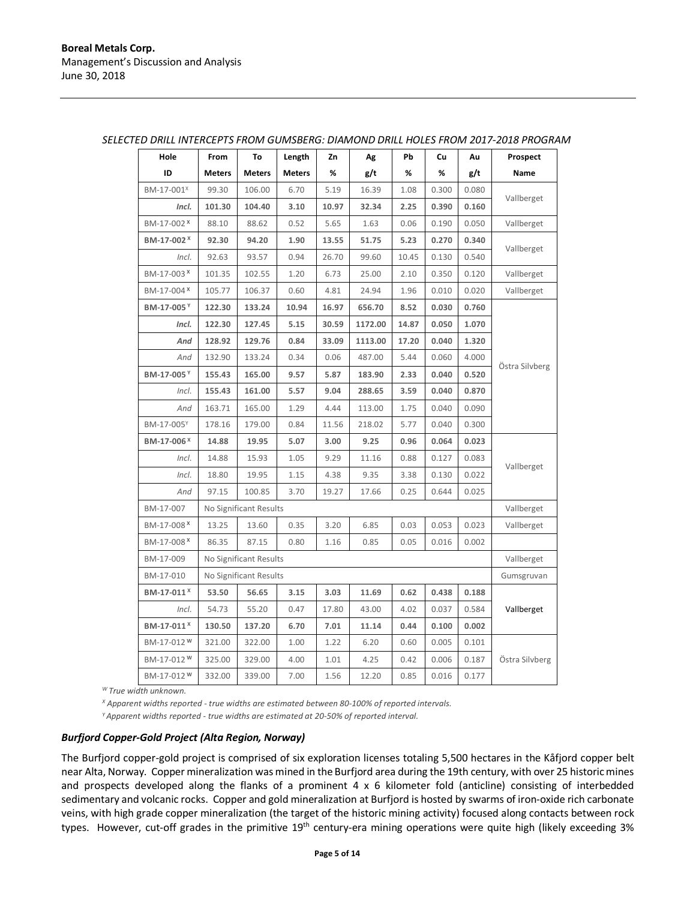| Hole                   | From          | To                     | Length        | Zn    | Ag      | Pb    | Cu    | Au    | Prospect       |
|------------------------|---------------|------------------------|---------------|-------|---------|-------|-------|-------|----------------|
| ID                     | <b>Meters</b> | <b>Meters</b>          | <b>Meters</b> | %     | g/t     | %     | %     | g/t   | Name           |
| BM-17-001 <sup>x</sup> | 99.30         | 106.00                 | 6.70          | 5.19  | 16.39   | 1.08  | 0.300 | 0.080 |                |
| Incl.                  | 101.30        | 104.40                 | 3.10          | 10.97 | 32.34   | 2.25  | 0.390 | 0.160 | Vallberget     |
| BM-17-002 <sup>x</sup> | 88.10         | 88.62                  | 0.52          | 5.65  | 1.63    | 0.06  | 0.190 | 0.050 | Vallberget     |
| BM-17-002 <sup>X</sup> | 92.30         | 94.20                  | 1.90          | 13.55 | 51.75   | 5.23  | 0.270 | 0.340 |                |
| Incl.                  | 92.63         | 93.57                  | 0.94          | 26.70 | 99.60   | 10.45 | 0.130 | 0.540 | Vallberget     |
| BM-17-003 <sup>x</sup> | 101.35        | 102.55                 | 1.20          | 6.73  | 25.00   | 2.10  | 0.350 | 0.120 | Vallberget     |
| BM-17-004 <sup>x</sup> | 105.77        | 106.37                 | 0.60          | 4.81  | 24.94   | 1.96  | 0.010 | 0.020 | Vallberget     |
| BM-17-005Y             | 122.30        | 133.24                 | 10.94         | 16.97 | 656.70  | 8.52  | 0.030 | 0.760 |                |
| Incl.                  | 122.30        | 127.45                 | 5.15          | 30.59 | 1172.00 | 14.87 | 0.050 | 1.070 |                |
| And                    | 128.92        | 129.76                 | 0.84          | 33.09 | 1113.00 | 17.20 | 0.040 | 1.320 |                |
| And                    | 132.90        | 133.24                 | 0.34          | 0.06  | 487.00  | 5.44  | 0.060 | 4.000 |                |
| BM-17-005Y             | 155.43        | 165.00                 | 9.57          | 5.87  | 183.90  | 2.33  | 0.040 | 0.520 | Östra Silvberg |
| Incl.                  | 155.43        | 161.00                 | 5.57          | 9.04  | 288.65  | 3.59  | 0.040 | 0.870 |                |
| And                    | 163.71        | 165.00                 | 1.29          | 4.44  | 113.00  | 1.75  | 0.040 | 0.090 |                |
| BM-17-005Y             | 178.16        | 179.00                 | 0.84          | 11.56 | 218.02  | 5.77  | 0.040 | 0.300 |                |
| BM-17-006 <sup>x</sup> | 14.88         | 19.95                  | 5.07          | 3.00  | 9.25    | 0.96  | 0.064 | 0.023 |                |
| Incl.                  | 14.88         | 15.93                  | 1.05          | 9.29  | 11.16   | 0.88  | 0.127 | 0.083 | Vallberget     |
| Incl.                  | 18.80         | 19.95                  | 1.15          | 4.38  | 9.35    | 3.38  | 0.130 | 0.022 |                |
| And                    | 97.15         | 100.85                 | 3.70          | 19.27 | 17.66   | 0.25  | 0.644 | 0.025 |                |
| BM-17-007              |               | No Significant Results |               |       |         |       |       |       | Vallberget     |
| BM-17-008 <sup>x</sup> | 13.25         | 13.60                  | 0.35          | 3.20  | 6.85    | 0.03  | 0.053 | 0.023 | Vallberget     |
| BM-17-008 <sup>x</sup> | 86.35         | 87.15                  | 0.80          | 1.16  | 0.85    | 0.05  | 0.016 | 0.002 |                |
| BM-17-009              |               | No Significant Results |               |       |         |       |       |       | Vallberget     |
| BM-17-010              |               | No Significant Results |               |       |         |       |       |       | Gumsgruvan     |
| BM-17-011 <sup>x</sup> | 53.50         | 56.65                  | 3.15          | 3.03  | 11.69   | 0.62  | 0.438 | 0.188 | Vallberget     |
| Incl.                  | 54.73         | 55.20                  | 0.47          | 17.80 | 43.00   | 4.02  | 0.037 | 0.584 |                |
| BM-17-011 <sup>X</sup> | 130.50        | 137.20                 | 6.70          | 7.01  | 11.14   | 0.44  | 0.100 | 0.002 |                |
| BM-17-012 <sup>W</sup> | 321.00        | 322.00                 | 1.00          | 1.22  | 6.20    | 0.60  | 0.005 | 0.101 |                |
| BM-17-012 <sup>W</sup> | 325.00        | 329.00                 | 4.00          | 1.01  | 4.25    | 0.42  | 0.006 | 0.187 | Östra Silvberg |
| BM-17-012 <sup>W</sup> | 332.00        | 339.00                 | 7.00          | 1.56  | 12.20   | 0.85  | 0.016 | 0.177 |                |

#### *SELECTED DRILL INTERCEPTS FROM GUMSBERG: DIAMOND DRILL HOLES FROM 2017-2018 PROGRAM*

*W True width unknown.*

*<sup>X</sup> Apparent widths reported - true widths are estimated between 80-100% of reported intervals.*

*Y Apparent widths reported - true widths are estimated at 20-50% of reported interval.*

#### *Burfjord Copper-Gold Project (Alta Region, Norway)*

The Burfjord copper-gold project is comprised of six exploration licenses totaling 5,500 hectares in the Kåfjord copper belt near Alta, Norway. Copper mineralization was mined in the Burfjord area during the 19th century, with over 25 historic mines and prospects developed along the flanks of a prominent  $4 \times 6$  kilometer fold (anticline) consisting of interbedded sedimentary and volcanic rocks. Copper and gold mineralization at Burfjord is hosted by swarms of iron-oxide rich carbonate veins, with high grade copper mineralization (the target of the historic mining activity) focused along contacts between rock types. However, cut-off grades in the primitive 19<sup>th</sup> century-era mining operations were quite high (likely exceeding 3%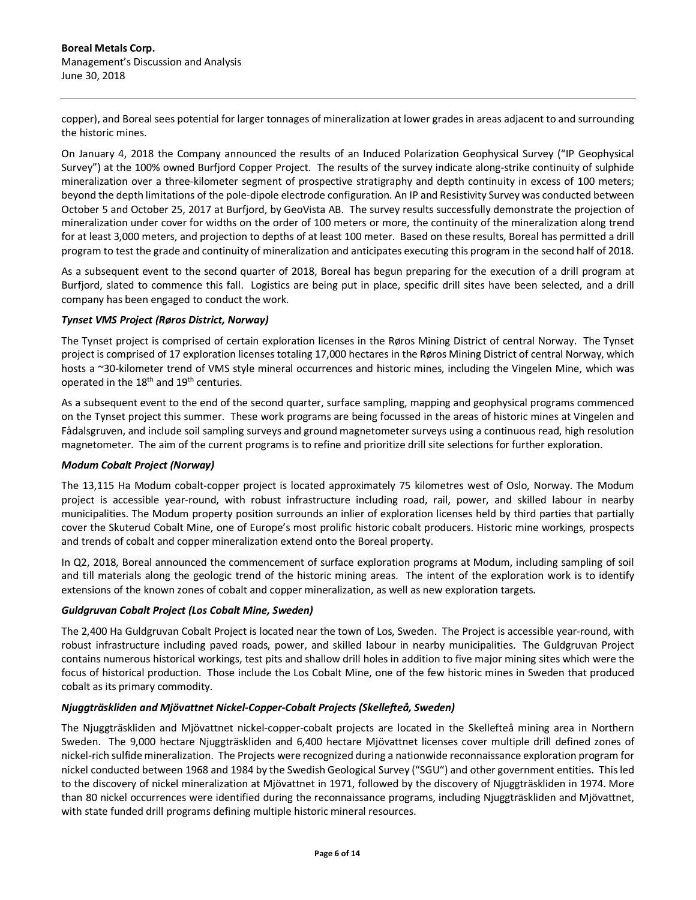copper), and Boreal sees potential for larger tonnages of mineralization at lower grades in areas adjacent to and surrounding the historic mines.

On January 4, 2018 the Company announced the results of an Induced Polarization Geophysical Survey ("IP Geophysical Survey") at the 100% owned Burfjord Copper Project. The results of the survey indicate along-strike continuity of sulphide mineralization over a three-kilometer segment of prospective stratigraphy and depth continuity in excess of 100 meters; beyond the depth limitations of the pole-dipole electrode configuration. An IP and Resistivity Survey was conducted between October 5 and October 25, 2017 at Burfjord, by GeoVista AB. The survey results successfully demonstrate the projection of mineralization under cover for widths on the order of 100 meters or more, the continuity of the mineralization along trend for at least 3,000 meters, and projection to depths of at least 100 meter. Based on these results, Boreal has permitted a drill program to test the grade and continuity of mineralization and anticipates executing this program in the second half of 2018.

As a subsequent event to the second quarter of 2018, Boreal has begun preparing for the execution of a drill program at Burfjord, slated to commence this fall. Logistics are being put in place, specific drill sites have been selected, and a drill company has been engaged to conduct the work.

## *Tynset VMS Project (Røros District, Norway)*

The Tynset project is comprised of certain exploration licenses in the Røros Mining District of central Norway. The Tynset project is comprised of 17 exploration licenses totaling 17,000 hectares in the Røros Mining District of central Norway, which hosts a ~30-kilometer trend of VMS style mineral occurrences and historic mines, including the Vingelen Mine, which was operated in the 18<sup>th</sup> and 19<sup>th</sup> centuries.

As a subsequent event to the end of the second quarter, surface sampling, mapping and geophysical programs commenced on the Tynset project this summer. These work programs are being focussed in the areas of historic mines at Vingelen and Fådalsgruven, and include soil sampling surveys and ground magnetometer surveys using a continuous read, high resolution magnetometer. The aim of the current programs is to refine and prioritize drill site selections for further exploration.

## *Modum Cobalt Project (Norway)*

The 13,115 Ha Modum cobalt-copper project is located approximately 75 kilometres west of Oslo, Norway. The Modum project is accessible year-round, with robust infrastructure including road, rail, power, and skilled labour in nearby municipalities. The Modum property position surrounds an inlier of exploration licenses held by third parties that partially cover the Skuterud Cobalt Mine, one of Europe's most prolific historic cobalt producers. Historic mine workings, prospects and trends of cobalt and copper mineralization extend onto the Boreal property.

In Q2, 2018, Boreal announced the commencement of surface exploration programs at Modum, including sampling of soil and till materials along the geologic trend of the historic mining areas. The intent of the exploration work is to identify extensions of the known zones of cobalt and copper mineralization, as well as new exploration targets.

## *Guldgruvan Cobalt Project (Los Cobalt Mine, Sweden)*

The 2,400 Ha Guldgruvan Cobalt Project is located near the town of Los, Sweden. The Project is accessible year-round, with robust infrastructure including paved roads, power, and skilled labour in nearby municipalities. The Guldgruvan Project contains numerous historical workings, test pits and shallow drill holes in addition to five major mining sites which were the focus of historical production. Those include the Los Cobalt Mine, one of the few historic mines in Sweden that produced cobalt as its primary commodity.

## *Njuggträskliden and Mjövattnet Nickel-Copper-Cobalt Projects (Skellefteå, Sweden)*

The Njuggträskliden and Mjövattnet nickel-copper-cobalt projects are located in the Skellefteå mining area in Northern Sweden. The 9,000 hectare Njuggträskliden and 6,400 hectare Mjövattnet licenses cover multiple drill defined zones of nickel-rich sulfide mineralization. The Projects were recognized during a nationwide reconnaissance exploration program for nickel conducted between 1968 and 1984 by the Swedish Geological Survey ("SGU") and other government entities. This led to the discovery of nickel mineralization at Mjövattnet in 1971, followed by the discovery of Njuggträskliden in 1974. More than 80 nickel occurrences were identified during the reconnaissance programs, including Njuggträskliden and Mjövattnet, with state funded drill programs defining multiple historic mineral resources.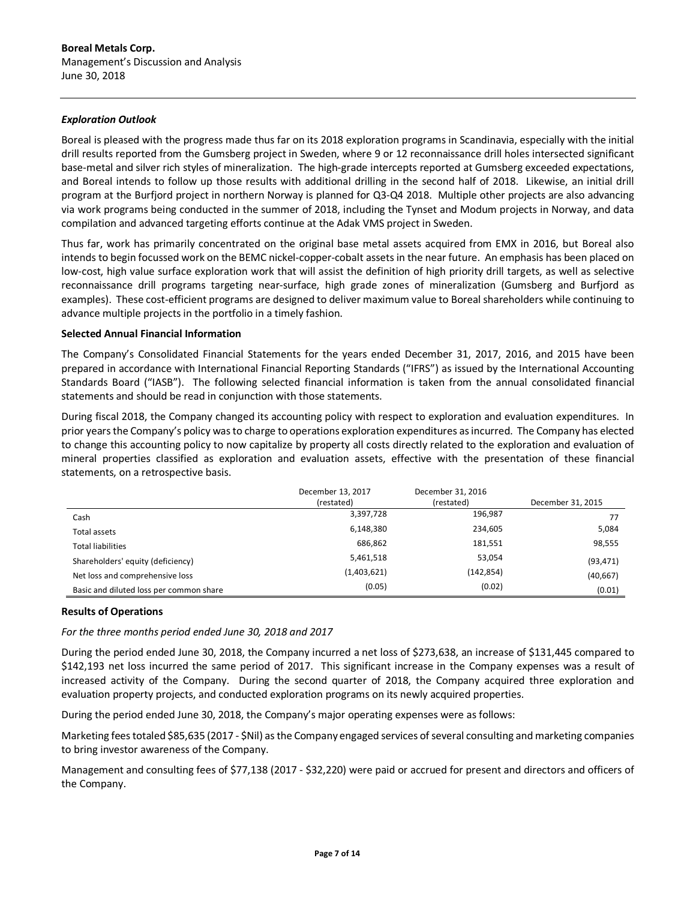## *Exploration Outlook*

Boreal is pleased with the progress made thus far on its 2018 exploration programs in Scandinavia, especially with the initial drill results reported from the Gumsberg project in Sweden, where 9 or 12 reconnaissance drill holes intersected significant base-metal and silver rich styles of mineralization. The high-grade intercepts reported at Gumsberg exceeded expectations, and Boreal intends to follow up those results with additional drilling in the second half of 2018. Likewise, an initial drill program at the Burfjord project in northern Norway is planned for Q3-Q4 2018. Multiple other projects are also advancing via work programs being conducted in the summer of 2018, including the Tynset and Modum projects in Norway, and data compilation and advanced targeting efforts continue at the Adak VMS project in Sweden.

Thus far, work has primarily concentrated on the original base metal assets acquired from EMX in 2016, but Boreal also intends to begin focussed work on the BEMC nickel-copper-cobalt assets in the near future. An emphasis has been placed on low-cost, high value surface exploration work that will assist the definition of high priority drill targets, as well as selective reconnaissance drill programs targeting near-surface, high grade zones of mineralization (Gumsberg and Burfjord as examples). These cost-efficient programs are designed to deliver maximum value to Boreal shareholders while continuing to advance multiple projects in the portfolio in a timely fashion.

## **Selected Annual Financial Information**

The Company's Consolidated Financial Statements for the years ended December 31, 2017, 2016, and 2015 have been prepared in accordance with International Financial Reporting Standards ("IFRS") as issued by the International Accounting Standards Board ("IASB"). The following selected financial information is taken from the annual consolidated financial statements and should be read in conjunction with those statements.

During fiscal 2018, the Company changed its accounting policy with respect to exploration and evaluation expenditures. In prior years the Company's policy was to charge to operations exploration expenditures as incurred. The Company has elected to change this accounting policy to now capitalize by property all costs directly related to the exploration and evaluation of mineral properties classified as exploration and evaluation assets, effective with the presentation of these financial statements, on a retrospective basis.

|                                         | December 13, 2017<br>(restated) | December 31, 2016<br>(restated) | December 31, 2015 |
|-----------------------------------------|---------------------------------|---------------------------------|-------------------|
| Cash                                    | 3,397,728                       | 196,987                         | 77                |
| Total assets                            | 6,148,380                       | 234,605                         | 5,084             |
| <b>Total liabilities</b>                | 686,862                         | 181,551                         | 98,555            |
| Shareholders' equity (deficiency)       | 5,461,518                       | 53,054                          | (93, 471)         |
| Net loss and comprehensive loss         | (1,403,621)                     | (142, 854)                      | (40, 667)         |
| Basic and diluted loss per common share | (0.05)                          | (0.02)                          | (0.01)            |

### **Results of Operations**

*For the three months period ended June 30, 2018 and 2017*

During the period ended June 30, 2018, the Company incurred a net loss of \$273,638, an increase of \$131,445 compared to \$142,193 net loss incurred the same period of 2017. This significant increase in the Company expenses was a result of increased activity of the Company. During the second quarter of 2018, the Company acquired three exploration and evaluation property projects, and conducted exploration programs on its newly acquired properties.

During the period ended June 30, 2018, the Company's major operating expenses were as follows:

Marketing fees totaled \$85,635 (2017 - \$Nil) as the Company engaged services of several consulting and marketing companies to bring investor awareness of the Company.

Management and consulting fees of \$77,138 (2017 - \$32,220) were paid or accrued for present and directors and officers of the Company.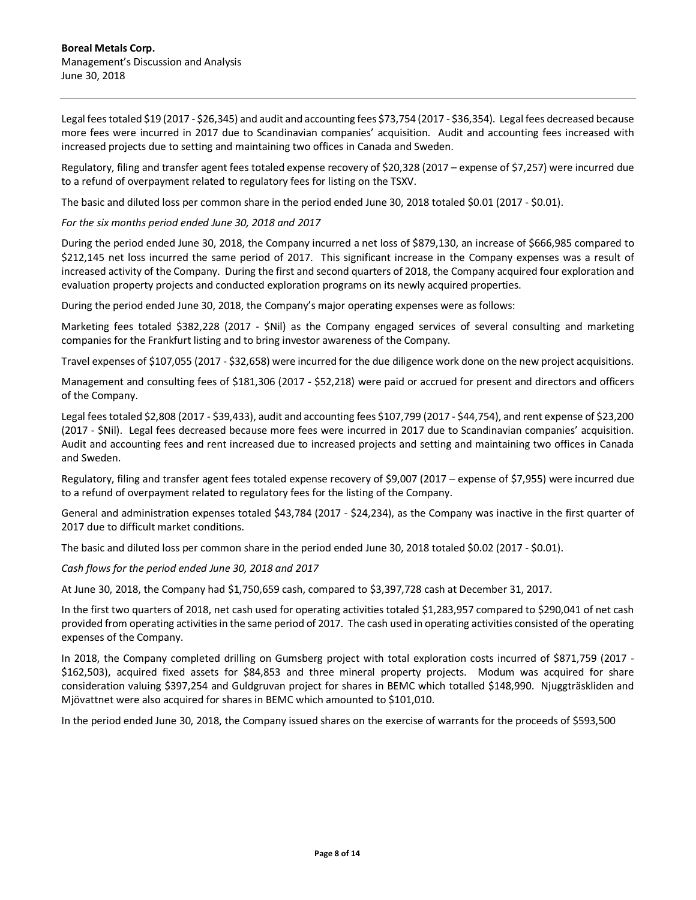Legal fees totaled \$19 (2017 - \$26,345) and audit and accounting fees \$73,754 (2017 - \$36,354). Legal fees decreased because more fees were incurred in 2017 due to Scandinavian companies' acquisition. Audit and accounting fees increased with increased projects due to setting and maintaining two offices in Canada and Sweden.

Regulatory, filing and transfer agent fees totaled expense recovery of \$20,328 (2017 – expense of \$7,257) were incurred due to a refund of overpayment related to regulatory fees for listing on the TSXV.

The basic and diluted loss per common share in the period ended June 30, 2018 totaled \$0.01 (2017 - \$0.01).

*For the six months period ended June 30, 2018 and 2017*

During the period ended June 30, 2018, the Company incurred a net loss of \$879,130, an increase of \$666,985 compared to \$212,145 net loss incurred the same period of 2017. This significant increase in the Company expenses was a result of increased activity of the Company. During the first and second quarters of 2018, the Company acquired four exploration and evaluation property projects and conducted exploration programs on its newly acquired properties.

During the period ended June 30, 2018, the Company's major operating expenses were as follows:

Marketing fees totaled \$382,228 (2017 - \$Nil) as the Company engaged services of several consulting and marketing companies for the Frankfurt listing and to bring investor awareness of the Company.

Travel expenses of \$107,055 (2017 - \$32,658) were incurred for the due diligence work done on the new project acquisitions.

Management and consulting fees of \$181,306 (2017 - \$52,218) were paid or accrued for present and directors and officers of the Company.

Legal fees totaled \$2,808 (2017 - \$39,433), audit and accounting fees \$107,799 (2017 - \$44,754), and rent expense of \$23,200 (2017 - \$Nil). Legal fees decreased because more fees were incurred in 2017 due to Scandinavian companies' acquisition. Audit and accounting fees and rent increased due to increased projects and setting and maintaining two offices in Canada and Sweden.

Regulatory, filing and transfer agent fees totaled expense recovery of \$9,007 (2017 – expense of \$7,955) were incurred due to a refund of overpayment related to regulatory fees for the listing of the Company.

General and administration expenses totaled \$43,784 (2017 - \$24,234), as the Company was inactive in the first quarter of 2017 due to difficult market conditions.

The basic and diluted loss per common share in the period ended June 30, 2018 totaled \$0.02 (2017 - \$0.01).

*Cash flows for the period ended June 30, 2018 and 2017*

At June 30, 2018, the Company had \$1,750,659 cash, compared to \$3,397,728 cash at December 31, 2017.

In the first two quarters of 2018, net cash used for operating activities totaled \$1,283,957 compared to \$290,041 of net cash provided from operating activities in the same period of 2017. The cash used in operating activities consisted of the operating expenses of the Company.

In 2018, the Company completed drilling on Gumsberg project with total exploration costs incurred of \$871,759 (2017 - \$162,503), acquired fixed assets for \$84,853 and three mineral property projects. Modum was acquired for share consideration valuing \$397,254 and Guldgruvan project for shares in BEMC which totalled \$148,990. Njuggträskliden and Mjövattnet were also acquired for shares in BEMC which amounted to \$101,010.

In the period ended June 30, 2018, the Company issued shares on the exercise of warrants for the proceeds of \$593,500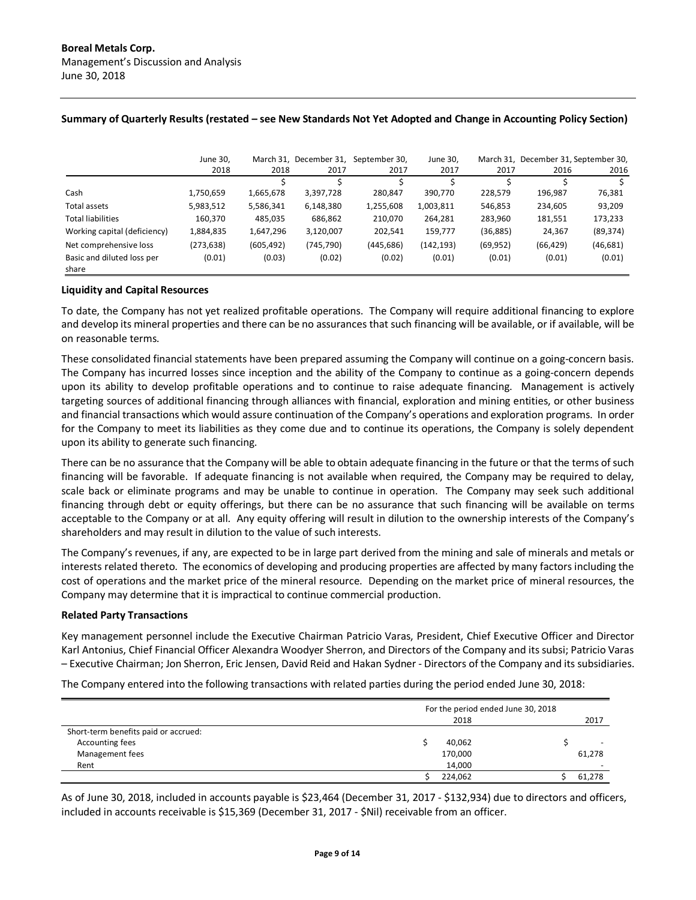|                                     | June 30,   | March 31.  |            | December 31, September 30, | June 30.   | March 31. | December 31, September 30, |           |
|-------------------------------------|------------|------------|------------|----------------------------|------------|-----------|----------------------------|-----------|
|                                     | 2018       | 2018       | 2017       | 2017                       | 2017       | 2017      | 2016                       | 2016      |
|                                     |            |            |            |                            |            |           |                            |           |
| Cash                                | 1,750,659  | 1,665,678  | 3,397,728  | 280.847                    | 390,770    | 228,579   | 196,987                    | 76,381    |
| Total assets                        | 5,983,512  | 5,586,341  | 6,148,380  | 1,255,608                  | 1,003,811  | 546,853   | 234,605                    | 93,209    |
| <b>Total liabilities</b>            | 160,370    | 485,035    | 686,862    | 210,070                    | 264,281    | 283,960   | 181,551                    | 173,233   |
| Working capital (deficiency)        | 1,884,835  | 1,647,296  | 3,120,007  | 202,541                    | 159,777    | (36,885)  | 24,367                     | (89, 374) |
| Net comprehensive loss              | (273, 638) | (605, 492) | (745, 790) | (445, 686)                 | (142, 193) | (69, 952) | (66, 429)                  | (46, 681) |
| Basic and diluted loss per<br>share | (0.01)     | (0.03)     | (0.02)     | (0.02)                     | (0.01)     | (0.01)    | (0.01)                     | (0.01)    |

## **Summary of Quarterly Results (restated – see New Standards Not Yet Adopted and Change in Accounting Policy Section)**

### **Liquidity and Capital Resources**

To date, the Company has not yet realized profitable operations. The Company will require additional financing to explore and develop its mineral properties and there can be no assurances that such financing will be available, or if available, will be on reasonable terms.

These consolidated financial statements have been prepared assuming the Company will continue on a going-concern basis. The Company has incurred losses since inception and the ability of the Company to continue as a going-concern depends upon its ability to develop profitable operations and to continue to raise adequate financing. Management is actively targeting sources of additional financing through alliances with financial, exploration and mining entities, or other business and financial transactions which would assure continuation of the Company's operations and exploration programs. In order for the Company to meet its liabilities as they come due and to continue its operations, the Company is solely dependent upon its ability to generate such financing.

There can be no assurance that the Company will be able to obtain adequate financing in the future or that the terms of such financing will be favorable. If adequate financing is not available when required, the Company may be required to delay, scale back or eliminate programs and may be unable to continue in operation. The Company may seek such additional financing through debt or equity offerings, but there can be no assurance that such financing will be available on terms acceptable to the Company or at all. Any equity offering will result in dilution to the ownership interests of the Company's shareholders and may result in dilution to the value of such interests.

The Company's revenues, if any, are expected to be in large part derived from the mining and sale of minerals and metals or interests related thereto. The economics of developing and producing properties are affected by many factors including the cost of operations and the market price of the mineral resource. Depending on the market price of mineral resources, the Company may determine that it is impractical to continue commercial production.

### **Related Party Transactions**

Key management personnel include the Executive Chairman Patricio Varas, President, Chief Executive Officer and Director Karl Antonius, Chief Financial Officer Alexandra Woodyer Sherron, and Directors of the Company and its subsi; Patricio Varas – Executive Chairman; Jon Sherron, Eric Jensen, David Reid and Hakan Sydner - Directors of the Company and its subsidiaries.

The Company entered into the following transactions with related parties during the period ended June 30, 2018:

|                                      | For the period ended June 30, 2018 |  |                          |
|--------------------------------------|------------------------------------|--|--------------------------|
|                                      | 2018                               |  | 2017                     |
| Short-term benefits paid or accrued: |                                    |  |                          |
| Accounting fees                      | 40,062                             |  |                          |
| Management fees                      | 170,000                            |  | 61,278                   |
| Rent                                 | 14,000                             |  | $\overline{\phantom{0}}$ |
|                                      | 224,062                            |  | 61,278                   |

As of June 30, 2018, included in accounts payable is \$23,464 (December 31, 2017 - \$132,934) due to directors and officers, included in accounts receivable is \$15,369 (December 31, 2017 - \$Nil) receivable from an officer.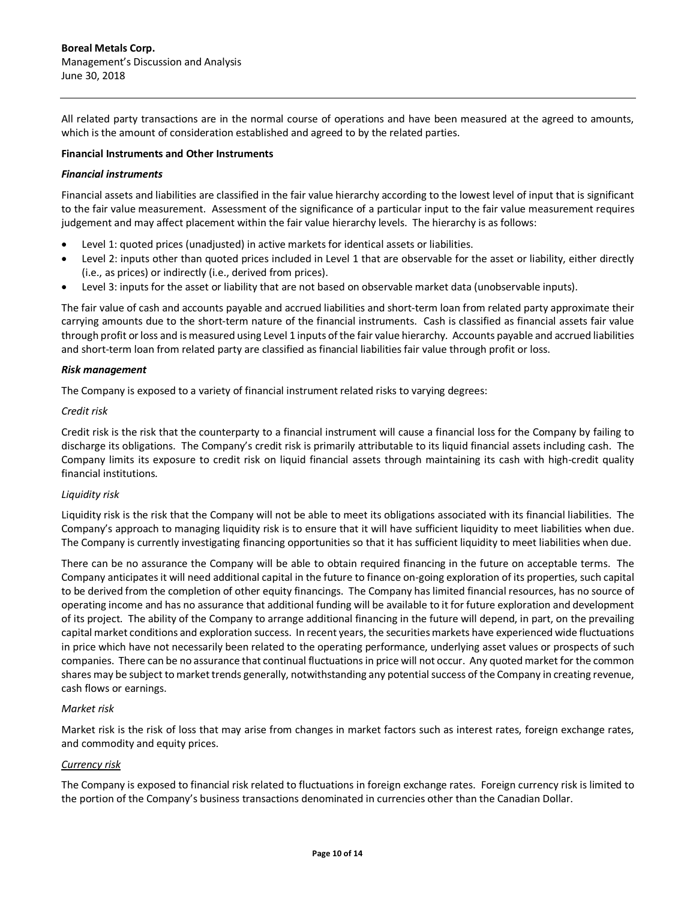All related party transactions are in the normal course of operations and have been measured at the agreed to amounts, which is the amount of consideration established and agreed to by the related parties.

### **Financial Instruments and Other Instruments**

### *Financial instruments*

Financial assets and liabilities are classified in the fair value hierarchy according to the lowest level of input that is significant to the fair value measurement. Assessment of the significance of a particular input to the fair value measurement requires judgement and may affect placement within the fair value hierarchy levels. The hierarchy is as follows:

- Level 1: quoted prices (unadjusted) in active markets for identical assets or liabilities.
- Level 2: inputs other than quoted prices included in Level 1 that are observable for the asset or liability, either directly (i.e., as prices) or indirectly (i.e., derived from prices).
- Level 3: inputs for the asset or liability that are not based on observable market data (unobservable inputs).

The fair value of cash and accounts payable and accrued liabilities and short-term loan from related party approximate their carrying amounts due to the short-term nature of the financial instruments. Cash is classified as financial assets fair value through profit or loss and is measured using Level 1 inputs of the fair value hierarchy. Accounts payable and accrued liabilities and short-term loan from related party are classified as financial liabilities fair value through profit or loss.

### *Risk management*

The Company is exposed to a variety of financial instrument related risks to varying degrees:

### *Credit risk*

Credit risk is the risk that the counterparty to a financial instrument will cause a financial loss for the Company by failing to discharge its obligations. The Company's credit risk is primarily attributable to its liquid financial assets including cash. The Company limits its exposure to credit risk on liquid financial assets through maintaining its cash with high-credit quality financial institutions.

## *Liquidity risk*

Liquidity risk is the risk that the Company will not be able to meet its obligations associated with its financial liabilities. The Company's approach to managing liquidity risk is to ensure that it will have sufficient liquidity to meet liabilities when due. The Company is currently investigating financing opportunities so that it has sufficient liquidity to meet liabilities when due.

There can be no assurance the Company will be able to obtain required financing in the future on acceptable terms. The Company anticipates it will need additional capital in the future to finance on-going exploration of its properties, such capital to be derived from the completion of other equity financings. The Company has limited financial resources, has no source of operating income and has no assurance that additional funding will be available to it for future exploration and development of its project. The ability of the Company to arrange additional financing in the future will depend, in part, on the prevailing capital market conditions and exploration success. In recent years, the securities markets have experienced wide fluctuations in price which have not necessarily been related to the operating performance, underlying asset values or prospects of such companies. There can be no assurance that continual fluctuations in price will not occur. Any quoted market for the common shares may be subject to market trends generally, notwithstanding any potential success of the Company in creating revenue, cash flows or earnings.

### *Market risk*

Market risk is the risk of loss that may arise from changes in market factors such as interest rates, foreign exchange rates, and commodity and equity prices.

## *Currency risk*

The Company is exposed to financial risk related to fluctuations in foreign exchange rates. Foreign currency risk is limited to the portion of the Company's business transactions denominated in currencies other than the Canadian Dollar.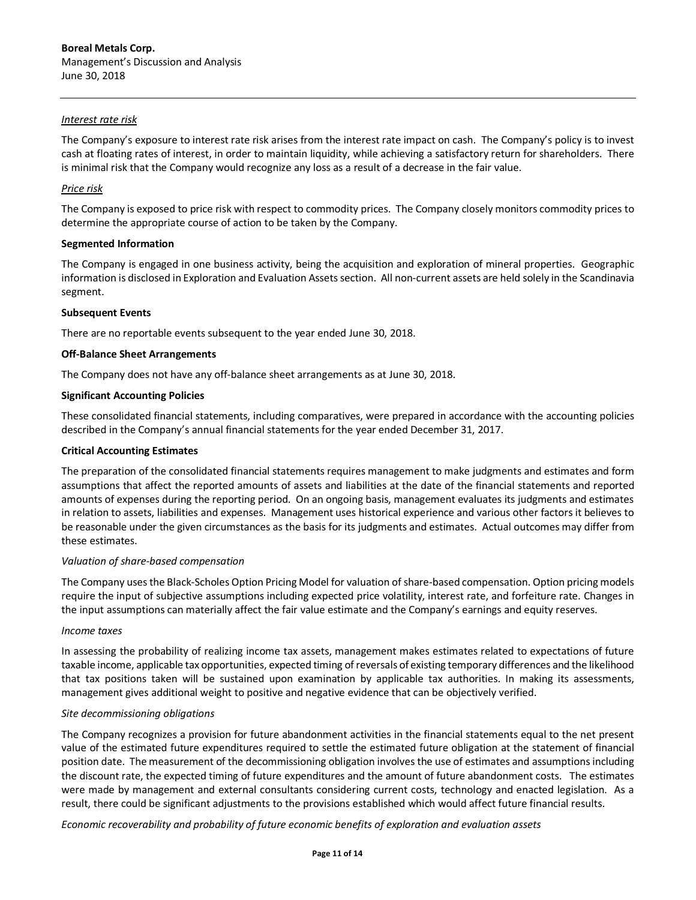## *Interest rate risk*

The Company's exposure to interest rate risk arises from the interest rate impact on cash. The Company's policy is to invest cash at floating rates of interest, in order to maintain liquidity, while achieving a satisfactory return for shareholders. There is minimal risk that the Company would recognize any loss as a result of a decrease in the fair value.

## *Price risk*

The Company is exposed to price risk with respect to commodity prices. The Company closely monitors commodity prices to determine the appropriate course of action to be taken by the Company.

### **Segmented Information**

The Company is engaged in one business activity, being the acquisition and exploration of mineral properties. Geographic information is disclosed in Exploration and Evaluation Assets section. All non-current assets are held solely in the Scandinavia segment.

## **Subsequent Events**

There are no reportable events subsequent to the year ended June 30, 2018.

## **Off-Balance Sheet Arrangements**

The Company does not have any off-balance sheet arrangements as at June 30, 2018.

## **Significant Accounting Policies**

These consolidated financial statements, including comparatives, were prepared in accordance with the accounting policies described in the Company's annual financial statements for the year ended December 31, 2017.

### **Critical Accounting Estimates**

The preparation of the consolidated financial statements requires management to make judgments and estimates and form assumptions that affect the reported amounts of assets and liabilities at the date of the financial statements and reported amounts of expenses during the reporting period. On an ongoing basis, management evaluates its judgments and estimates in relation to assets, liabilities and expenses. Management uses historical experience and various other factors it believes to be reasonable under the given circumstances as the basis for its judgments and estimates. Actual outcomes may differ from these estimates.

### *Valuation of share-based compensation*

The Company uses the Black-Scholes Option Pricing Model for valuation of share-based compensation. Option pricing models require the input of subjective assumptions including expected price volatility, interest rate, and forfeiture rate. Changes in the input assumptions can materially affect the fair value estimate and the Company's earnings and equity reserves.

### *Income taxes*

In assessing the probability of realizing income tax assets, management makes estimates related to expectations of future taxable income, applicable tax opportunities, expected timing of reversals of existing temporary differences and the likelihood that tax positions taken will be sustained upon examination by applicable tax authorities. In making its assessments, management gives additional weight to positive and negative evidence that can be objectively verified.

### *Site decommissioning obligations*

The Company recognizes a provision for future abandonment activities in the financial statements equal to the net present value of the estimated future expenditures required to settle the estimated future obligation at the statement of financial position date. The measurement of the decommissioning obligation involves the use of estimates and assumptions including the discount rate, the expected timing of future expenditures and the amount of future abandonment costs. The estimates were made by management and external consultants considering current costs, technology and enacted legislation. As a result, there could be significant adjustments to the provisions established which would affect future financial results.

*Economic recoverability and probability of future economic benefits of exploration and evaluation assets*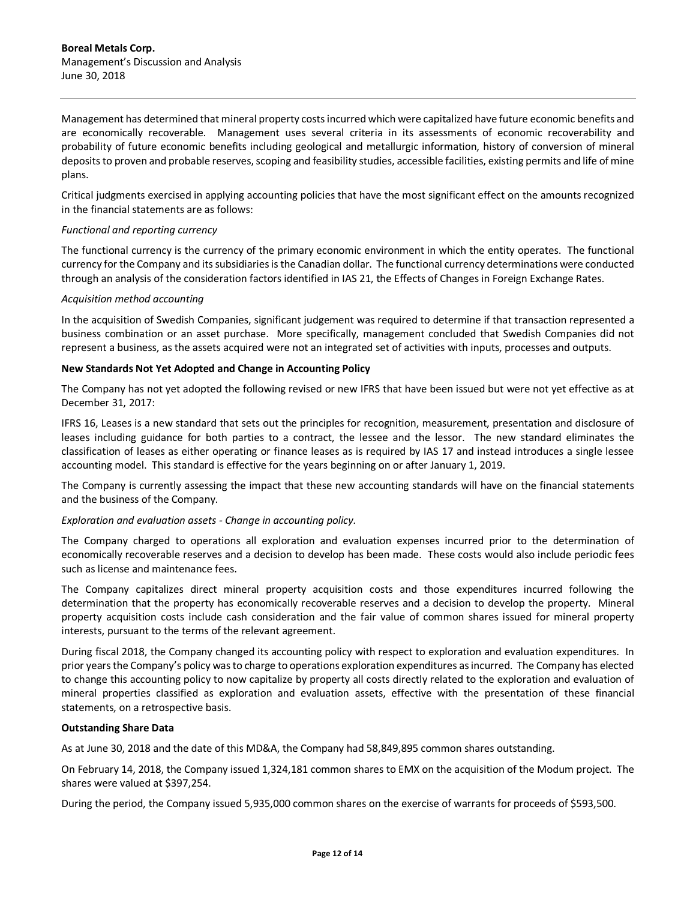Management has determined that mineral property costs incurred which were capitalized have future economic benefits and are economically recoverable. Management uses several criteria in its assessments of economic recoverability and probability of future economic benefits including geological and metallurgic information, history of conversion of mineral deposits to proven and probable reserves, scoping and feasibility studies, accessible facilities, existing permits and life of mine plans.

Critical judgments exercised in applying accounting policies that have the most significant effect on the amounts recognized in the financial statements are as follows:

### *Functional and reporting currency*

The functional currency is the currency of the primary economic environment in which the entity operates. The functional currency for the Company and its subsidiaries is the Canadian dollar. The functional currency determinations were conducted through an analysis of the consideration factors identified in IAS 21, the Effects of Changes in Foreign Exchange Rates.

### *Acquisition method accounting*

In the acquisition of Swedish Companies, significant judgement was required to determine if that transaction represented a business combination or an asset purchase. More specifically, management concluded that Swedish Companies did not represent a business, as the assets acquired were not an integrated set of activities with inputs, processes and outputs.

## **New Standards Not Yet Adopted and Change in Accounting Policy**

The Company has not yet adopted the following revised or new IFRS that have been issued but were not yet effective as at December 31, 2017:

IFRS 16, Leases is a new standard that sets out the principles for recognition, measurement, presentation and disclosure of leases including guidance for both parties to a contract, the lessee and the lessor. The new standard eliminates the classification of leases as either operating or finance leases as is required by IAS 17 and instead introduces a single lessee accounting model. This standard is effective for the years beginning on or after January 1, 2019.

The Company is currently assessing the impact that these new accounting standards will have on the financial statements and the business of the Company.

### *Exploration and evaluation assets - Change in accounting policy.*

The Company charged to operations all exploration and evaluation expenses incurred prior to the determination of economically recoverable reserves and a decision to develop has been made. These costs would also include periodic fees such as license and maintenance fees.

The Company capitalizes direct mineral property acquisition costs and those expenditures incurred following the determination that the property has economically recoverable reserves and a decision to develop the property. Mineral property acquisition costs include cash consideration and the fair value of common shares issued for mineral property interests, pursuant to the terms of the relevant agreement.

During fiscal 2018, the Company changed its accounting policy with respect to exploration and evaluation expenditures. In prior years the Company's policy was to charge to operations exploration expenditures as incurred. The Company has elected to change this accounting policy to now capitalize by property all costs directly related to the exploration and evaluation of mineral properties classified as exploration and evaluation assets, effective with the presentation of these financial statements, on a retrospective basis.

### **Outstanding Share Data**

As at June 30, 2018 and the date of this MD&A, the Company had 58,849,895 common shares outstanding.

On February 14, 2018, the Company issued 1,324,181 common shares to EMX on the acquisition of the Modum project. The shares were valued at \$397,254.

During the period, the Company issued 5,935,000 common shares on the exercise of warrants for proceeds of \$593,500.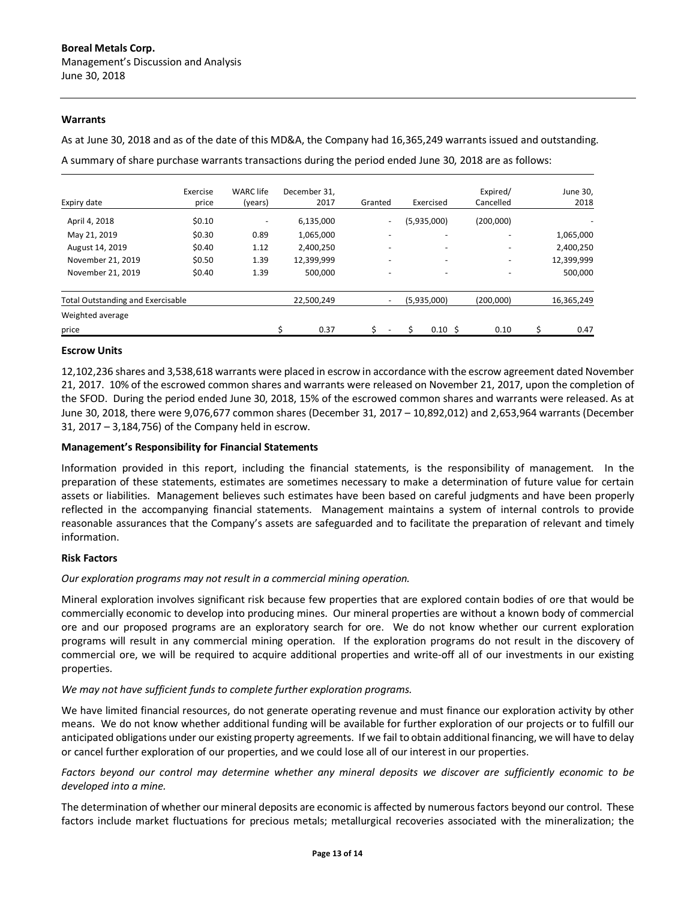### **Warrants**

As at June 30, 2018 and as of the date of this MD&A, the Company had 16,365,249 warrants issued and outstanding.

A summary of share purchase warrants transactions during the period ended June 30, 2018 are as follows:

|                                          | Exercise | <b>WARC</b> life         | December 31. |                          |                          | Expired/                 | June 30,   |
|------------------------------------------|----------|--------------------------|--------------|--------------------------|--------------------------|--------------------------|------------|
| Expiry date                              | price    | (years)                  | 2017         | Granted                  | Exercised                | Cancelled                | 2018       |
| April 4, 2018                            | \$0.10   | $\overline{\phantom{0}}$ | 6,135,000    | $\overline{\phantom{a}}$ | (5,935,000)              | (200,000)                |            |
| May 21, 2019                             | \$0.30   | 0.89                     | 1,065,000    | $\overline{\phantom{0}}$ | $\overline{\phantom{0}}$ |                          | 1,065,000  |
| August 14, 2019                          | \$0.40   | 1.12                     | 2,400,250    | $\overline{\phantom{0}}$ | -                        | -                        | 2,400,250  |
| November 21, 2019                        | \$0.50   | 1.39                     | 12,399,999   | $\overline{\phantom{0}}$ |                          |                          | 12,399,999 |
| November 21, 2019                        | \$0.40   | 1.39                     | 500,000      | $\overline{\phantom{a}}$ | $\overline{\phantom{0}}$ | $\overline{\phantom{0}}$ | 500,000    |
| <b>Total Outstanding and Exercisable</b> |          |                          | 22,500,249   | $\overline{\phantom{a}}$ | (5,935,000)              | (200,000)                | 16,365,249 |
| Weighted average                         |          |                          |              |                          |                          |                          |            |
| price                                    |          |                          | Ś<br>0.37    |                          | $0.10 \,$ \$             | 0.10                     | 0.47       |

### **Escrow Units**

12,102,236 shares and 3,538,618 warrants were placed in escrow in accordance with the escrow agreement dated November 21, 2017. 10% of the escrowed common shares and warrants were released on November 21, 2017, upon the completion of the SFOD. During the period ended June 30, 2018, 15% of the escrowed common shares and warrants were released. As at June 30, 2018, there were 9,076,677 common shares (December 31, 2017 – 10,892,012) and 2,653,964 warrants (December 31, 2017 – 3,184,756) of the Company held in escrow.

## **Management's Responsibility for Financial Statements**

Information provided in this report, including the financial statements, is the responsibility of management. In the preparation of these statements, estimates are sometimes necessary to make a determination of future value for certain assets or liabilities. Management believes such estimates have been based on careful judgments and have been properly reflected in the accompanying financial statements. Management maintains a system of internal controls to provide reasonable assurances that the Company's assets are safeguarded and to facilitate the preparation of relevant and timely information.

### **Risk Factors**

### *Our exploration programs may not result in a commercial mining operation.*

Mineral exploration involves significant risk because few properties that are explored contain bodies of ore that would be commercially economic to develop into producing mines. Our mineral properties are without a known body of commercial ore and our proposed programs are an exploratory search for ore. We do not know whether our current exploration programs will result in any commercial mining operation. If the exploration programs do not result in the discovery of commercial ore, we will be required to acquire additional properties and write-off all of our investments in our existing properties.

### *We may not have sufficient funds to complete further exploration programs.*

We have limited financial resources, do not generate operating revenue and must finance our exploration activity by other means. We do not know whether additional funding will be available for further exploration of our projects or to fulfill our anticipated obligations under our existing property agreements. If we fail to obtain additional financing, we will have to delay or cancel further exploration of our properties, and we could lose all of our interest in our properties.

*Factors beyond our control may determine whether any mineral deposits we discover are sufficiently economic to be developed into a mine.*

The determination of whether our mineral deposits are economic is affected by numerous factors beyond our control. These factors include market fluctuations for precious metals; metallurgical recoveries associated with the mineralization; the